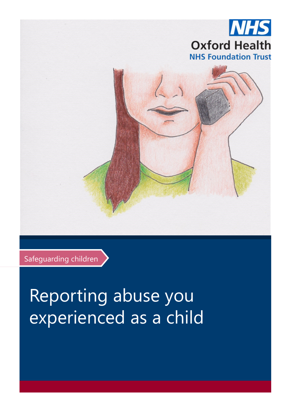

Safeguarding children

# Reporting abuse you experienced as a child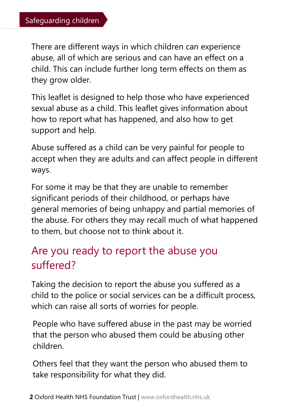There are different ways in which children can experience abuse, all of which are serious and can have an effect on a child. This can include further long term effects on them as they grow older.

This leaflet is designed to help those who have experienced sexual abuse as a child. This leaflet gives information about how to report what has happened, and also how to get support and help.

Abuse suffered as a child can be very painful for people to accept when they are adults and can affect people in different ways.

For some it may be that they are unable to remember significant periods of their childhood, or perhaps have general memories of being unhappy and partial memories of the abuse. For others they may recall much of what happened to them, but choose not to think about it.

# Are you ready to report the abuse you suffered?

Taking the decision to report the abuse you suffered as a child to the police or social services can be a difficult process, which can raise all sorts of worries for people.

People who have suffered abuse in the past may be worried that the person who abused them could be abusing other children.

Others feel that they want the person who abused them to take responsibility for what they did.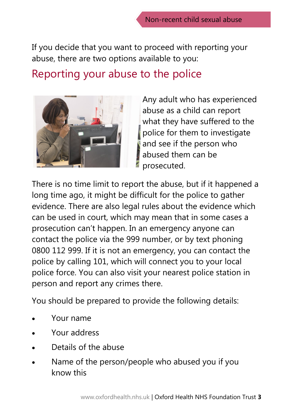If you decide that you want to proceed with reporting your abuse, there are two options available to you:

### Reporting your abuse to the police



Any adult who has experienced abuse as a child can report what they have suffered to the police for them to investigate and see if the person who abused them can be prosecuted.

There is no time limit to report the abuse, but if it happened a long time ago, it might be difficult for the police to gather evidence. There are also legal rules about the evidence which can be used in court, which may mean that in some cases a prosecution can't happen. In an emergency anyone can contact the police via the 999 number, or by text phoning 0800 112 999. If it is not an emergency, you can contact the police by calling 101, which will connect you to your local police force. You can also visit your nearest police station in person and report any crimes there.

You should be prepared to provide the following details:

- Your name
- Your address
- Details of the abuse
- Name of the person/people who abused you if you know this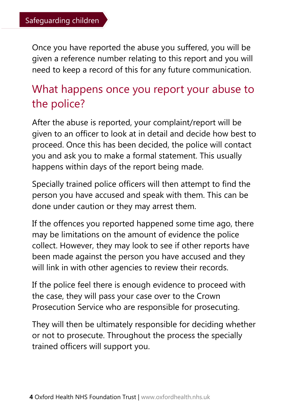Once you have reported the abuse you suffered, you will be given a reference number relating to this report and you will need to keep a record of this for any future communication.

# What happens once you report your abuse to the police?

After the abuse is reported, your complaint/report will be given to an officer to look at in detail and decide how best to proceed. Once this has been decided, the police will contact you and ask you to make a formal statement. This usually happens within days of the report being made.

Specially trained police officers will then attempt to find the person you have accused and speak with them. This can be done under caution or they may arrest them.

If the offences you reported happened some time ago, there may be limitations on the amount of evidence the police collect. However, they may look to see if other reports have been made against the person you have accused and they will link in with other agencies to review their records.

If the police feel there is enough evidence to proceed with the case, they will pass your case over to the Crown Prosecution Service who are responsible for prosecuting.

They will then be ultimately responsible for deciding whether or not to prosecute. Throughout the process the specially trained officers will support you.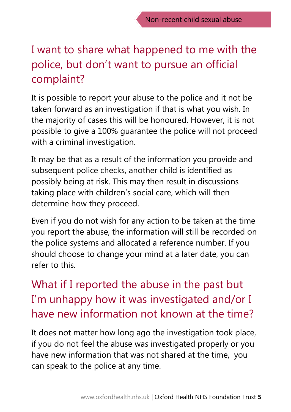# I want to share what happened to me with the police, but don't want to pursue an official complaint?

It is possible to report your abuse to the police and it not be taken forward as an investigation if that is what you wish. In the majority of cases this will be honoured. However, it is not possible to give a 100% guarantee the police will not proceed with a criminal investigation.

It may be that as a result of the information you provide and subsequent police checks, another child is identified as possibly being at risk. This may then result in discussions taking place with children's social care, which will then determine how they proceed.

Even if you do not wish for any action to be taken at the time you report the abuse, the information will still be recorded on the police systems and allocated a reference number. If you should choose to change your mind at a later date, you can refer to this.

What if I reported the abuse in the past but I'm unhappy how it was investigated and/or I have new information not known at the time?

It does not matter how long ago the investigation took place, if you do not feel the abuse was investigated properly or you have new information that was not shared at the time, you can speak to the police at any time.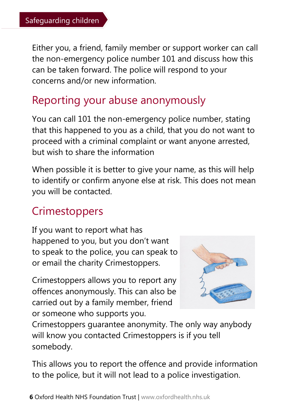Either you, a friend, family member or support worker can call the non-emergency police number 101 and discuss how this can be taken forward. The police will respond to your concerns and/or new information.

# Reporting your abuse anonymously

You can call 101 the non-emergency police number, stating that this happened to you as a child, that you do not want to proceed with a criminal complaint or want anyone arrested, but wish to share the information

When possible it is better to give your name, as this will help to identify or confirm anyone else at risk. This does not mean you will be contacted.

# **Crimestoppers**

If you want to report what has happened to you, but you don't want to speak to the police, you can speak to or email the charity Crimestoppers.

Crimestoppers allows you to report any offences anonymously. This can also be carried out by a family member, friend or someone who supports you.



Crimestoppers guarantee anonymity. The only way anybody will know you contacted Crimestoppers is if you tell somebody.

This allows you to report the offence and provide information to the police, but it will not lead to a police investigation.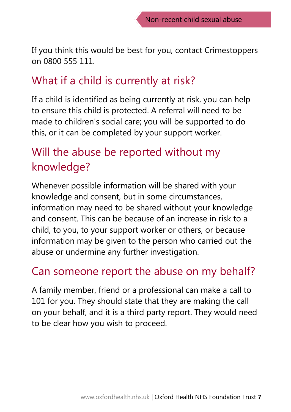If you think this would be best for you, contact Crimestoppers on 0800 555 111.

### What if a child is currently at risk?

If a child is identified as being currently at risk, you can help to ensure this child is protected. A referral will need to be made to children's social care; you will be supported to do this, or it can be completed by your support worker.

# Will the abuse be reported without my knowledge?

Whenever possible information will be shared with your knowledge and consent, but in some circumstances, information may need to be shared without your knowledge and consent. This can be because of an increase in risk to a child, to you, to your support worker or others, or because information may be given to the person who carried out the abuse or undermine any further investigation.

## Can someone report the abuse on my behalf?

A family member, friend or a professional can make a call to 101 for you. They should state that they are making the call on your behalf, and it is a third party report. They would need to be clear how you wish to proceed.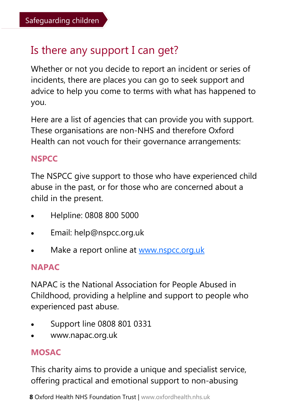# Is there any support I can get?

Whether or not you decide to report an incident or series of incidents, there are places you can go to seek support and advice to help you come to terms with what has happened to you.

Here are a list of agencies that can provide you with support. These organisations are non-NHS and therefore Oxford Health can not vouch for their governance arrangements:

#### **NSPCC**

The NSPCC give support to those who have experienced child abuse in the past, or for those who are concerned about a child in the present.

- Helpline: 0808 800 5000
- Email: help@nspcc.org.uk
- Make a report online at [www.nspcc.org.uk](http://www.nspcc.org.uk)

#### **NAPAC**

NAPAC is the National Association for People Abused in Childhood, providing a helpline and support to people who experienced past abuse.

- Support line 0808 801 0331
- www.napac.org.uk

#### **MOSAC**

This charity aims to provide a unique and specialist service, offering practical and emotional support to non-abusing

**8** Oxford Health NHS Foundation Trust | www.oxfordhealth.nhs.uk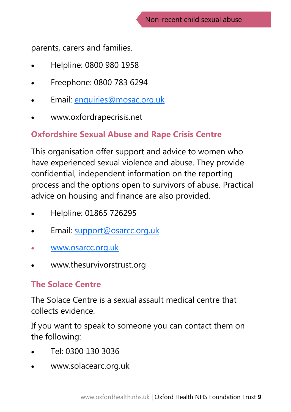parents, carers and families.

- Helpline: 0800 980 1958
- Freephone: 0800 783 6294
- Email: [enquiries@mosac.org.uk](mailto:enquiries@mosac.org.uk)
- www.oxfordrapecrisis.net

#### **Oxfordshire Sexual Abuse and Rape Crisis Centre**

This organisation offer support and advice to women who have experienced sexual violence and abuse. They provide confidential, independent information on the reporting process and the options open to survivors of abuse. Practical advice on housing and finance are also provided.

- Helpline: 01865 726295
- Email: [support@osarcc.org.uk](mailto:support@osarcc.org.uk)
- [www.osarcc.org.uk](mailto:www.osarcc.org.uk)
- www.thesurvivorstrust.org

#### **The Solace Centre**

The Solace Centre is a sexual assault medical centre that collects evidence.

If you want to speak to someone you can contact them on the following:

- Tel: 0300 130 3036
- www.solacearc.org.uk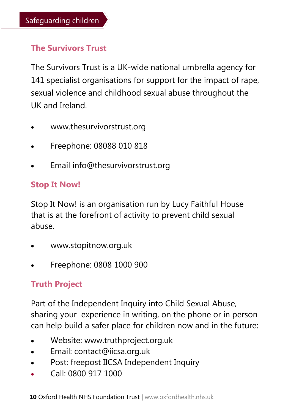#### **The Survivors Trust**

The Survivors Trust is a UK-wide national umbrella agency for 141 specialist organisations for support for the impact of rape, sexual violence and childhood sexual abuse throughout the UK and Ireland.

- www.thesurvivorstrust.org
- Freephone: 08088 010 818
- Email info@thesurvivorstrust.org

#### **Stop It Now!**

Stop It Now! is an organisation run by Lucy Faithful House that is at the forefront of activity to prevent child sexual abuse.

- www.stopitnow.org.uk
- Freephone: 0808 1000 900

#### **Truth Project**

Part of the Independent Inquiry into Child Sexual Abuse, sharing your experience in writing, on the phone or in person can help build a safer place for children now and in the future:

- Website: www.truthproject.org.uk
- Email: contact@iicsa.org.uk
- Post: freepost IICSA Independent Inquiry
- Call: 0800 917 1000

**10** Oxford Health NHS Foundation Trust | www.oxfordhealth.nhs.uk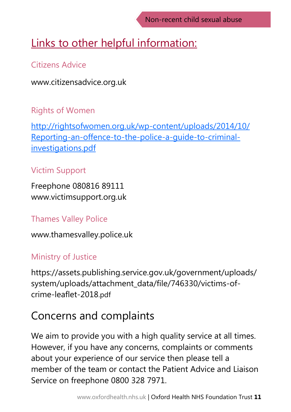# Links to other helpful information:

#### Citizens Advice

www.citizensadvice.org.uk

#### Rights of Women

[http://rightsofwomen.org.uk/wp-content/uploads/2014/10/](http://rightsofwomen.org.uk/wp-content/uploads/2014/10/Reporting-an-offence-to-the-police-a-guide-to-criminal-investigations.pdf) [Reporting-an-offence-to-the-police-a-guide-to-criminal](http://rightsofwomen.org.uk/wp-content/uploads/2014/10/Reporting-an-offence-to-the-police-a-guide-to-criminal-investigations.pdf)[investigations.pdf](http://rightsofwomen.org.uk/wp-content/uploads/2014/10/Reporting-an-offence-to-the-police-a-guide-to-criminal-investigations.pdf)

#### Victim Support

Freephone 080816 89111 www.victimsupport.org.uk

#### Thames Valley Police

www.thamesvalley.police.uk

#### Ministry of Justice

https://assets.publishing.service.gov.uk/government/uploads/ system/uploads/attachment\_data/file/746330/victims-ofcrime-leaflet-2018.pdf

# Concerns and complaints

We aim to provide you with a high quality service at all times. However, if you have any concerns, complaints or comments about your experience of our service then please tell a member of the team or contact the Patient Advice and Liaison Service on freephone 0800 328 7971.